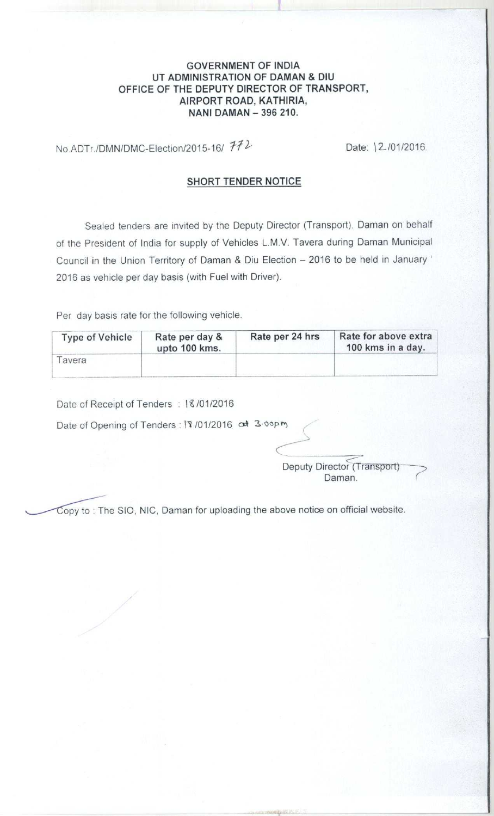## **GOVERNMENT OF INDIA UT ADMINISTRATION OF DAMAN & DIU** OFFICE OF THE DEPUTY DIRECTOR OF TRANSPORT, **AIRPORT ROAD** , **KATHIRIA, NANI DAMAN** - **396 210.**

No.ADTr./DMN/DMC-Election/2015-16/  $H2$  Date: \2/01/2016.

## **SHORT TENDER NOTICE**

Sealed tenders are invited by the Deputy Director (Transport). Daman on behalf of the President of India for supply of Vehicles L.M.V. Tavera during Daman Municipal Council in the Union Territory of Daman & Diu Election - 2016 to be held in January ' 2016 as vehicle per day basis (with Fuel with Driver).

Per day basis rate for the following vehicle.

| <b>Type of Vehicle</b> | Rate per day &<br>upto 100 kms. | Rate per 24 hrs | Rate for above extra<br>100 kms in a day. |
|------------------------|---------------------------------|-----------------|-------------------------------------------|
| avera                  |                                 |                 |                                           |

Date of Receipt of Tenders : 18/01/2016

Date of Opening of Tenders : 17 /01/2016 of 3·00pm

Deputy Director (Transport) Daman.

opy to : The SIO, **NIC, Daman for uploading the above notice on official website.**

,n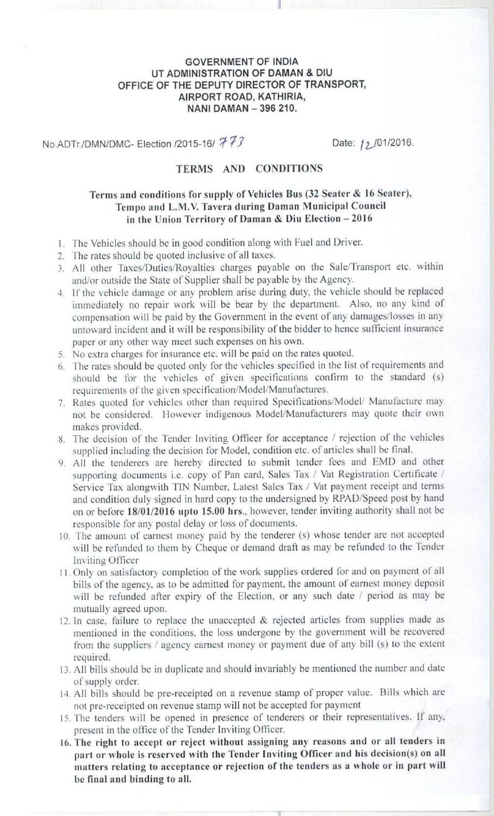## **GOVERNMENT OF INDIA UT ADMINISTRATION OF DAMAN & DIU OFFICE OF THE DEPUTY DIRECTOR OF TRANSPORT, AIRPORT ROAD** , **KATHIRIA, NANI DAMAN** - **396 210.**

ii

**No.ADTr./DMN/DMC- Election /2015-16/ 773** Date: 12 /01/2016.

## TERMS AND CONDITIONS

# **Terris and conditions for supply of Vehicles Bus (32 Seater** & **16 Seater),** Tempo **and L**.M.V. Tavera **during Daman Municipal Council in the Union Territory of Daman** & **Diu Election - 2016**

- 1. The Vehicles should be in good condition along with Fuel and Driver.
- 2. The rates should be quoted inclusive of all taxes.
- 3. All other Taxes/Duties/Royalties charges payable on the Sale/Transport etc. within and/or outside the State of Supplier shall be payable by the Agency.
- 4. If the vehicle damage or any problem arise during duty, the vehicle should be replaced immediately no repair work will be bear by the department. Also, no any kind of compensation will he paid by the Government in the event of any damages/losses in any untoward incident and it will be responsibility of the bidder to hence sufficient insurance paper or any other way meet such expenses on his own.
- 5. No extra charges for insurance etc. will be paid on the rates quoted.
- 6. The rates should he quoted only for the vehicles specified in the list of requirements and should he for the vehicles of given specifications confirm to the standard (s) requirements of the given specification/Model/Manufactures.
- 7. Rates quoted for vehicles other than required Specifications/Model' Manufacture may not he considered. However indigenous Model/Manufacturers may quote their own makes provided.
- 8. The decision of the Tender Inviting Officer for acceptance / rejection of the vehicles supplied including the decision for Model, condition etc. of articles shall he final.
- 9. All the tenderers are hereby directed to submit tender fees and EMD and other supporting documents i.e. copy of Pan card, Sales Tax / Vat Registration Certificate / Service Tax alongwith 'TIN Number, Latest Sales Tax / Vat payment receipt and terms and condition duly signed in hard copy to the undersigned by RPAD/Speed post by hand on or before **18/01/2016 upto 15**. **00 hrs**., however, tender inviting authority shall not be responsible for any postal delay or loss of documents.
- 10. fhe amount of earnest money paid by the tenderer (s) whose tender are not accepted will be refunded to them by Cheque or demand draft as may be refunded to the Tender Inviting Officer
- 11. Only on satisfactory completion of the work supplies ordered for and on payment of all bills of the agency, as to be admitted for payment, the amount of earnest money deposit will be refunded after expiry of the Election, or any such date / period as may be mutually agreed upon.
- 12. In case. failure to replace the unaccepted & rejected articles from supplies made as mentioned in the conditions, the loss undergone by the government will be recovered from the suppliers / agency earnest money or payment due of any bill (s) to the extent required.
- 13. All bills should be in duplicate and should invariably he mentioned the number and date of supply order.
- 14. All bills should be pre-receipted on a revenue stamp of proper value. Bills which are not pre-receipted on revenue stamp will not be accepted for payment
- 15. The tenders will be opened in presence of tenderers or their representatives. If any. present in the office of the Tender Inviting Officer.
- 16. The **right to accept or reject without assigning any reasons and or all tenders in** part or whole is reserved with the Tender Inviting Officer and his decision(s) on all **matters relating to acceptance or rejection of the tenders as a whole or in part will be final and binding to all.**